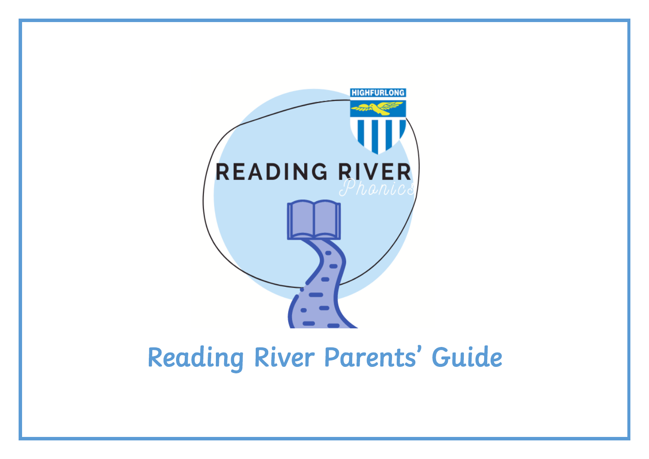

# Reading River Parents' Guide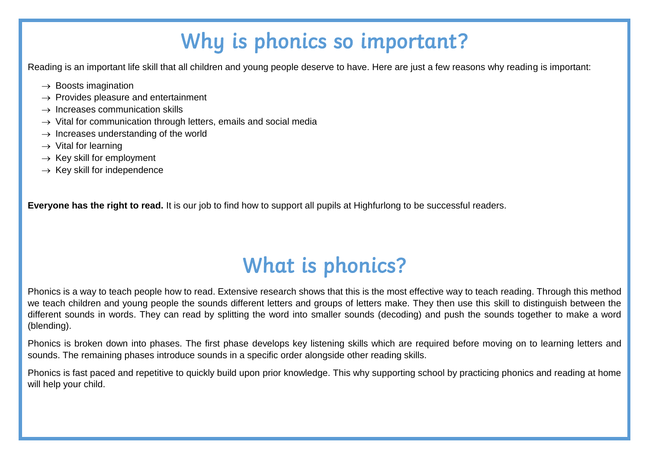## Why is phonics so important?

Reading is an important life skill that all children and young people deserve to have. Here are just a few reasons why reading is important:

- $\rightarrow$  Boosts imagination
- $\rightarrow$  Provides pleasure and entertainment
- $\rightarrow$  Increases communication skills
- $\rightarrow$  Vital for communication through letters, emails and social media
- $\rightarrow$  Increases understanding of the world
- $\rightarrow$  Vital for learning
- $\rightarrow$  Key skill for employment
- $\rightarrow$  Kev skill for independence

**Everyone has the right to read.** It is our job to find how to support all pupils at Highfurlong to be successful readers.

## What is phonics?

Phonics is a way to teach people how to read. Extensive research shows that this is the most effective way to teach reading. Through this method we teach children and young people the sounds different letters and groups of letters make. They then use this skill to distinguish between the different sounds in words. They can read by splitting the word into smaller sounds (decoding) and push the sounds together to make a word (blending).

Phonics is broken down into phases. The first phase develops key listening skills which are required before moving on to learning letters and sounds. The remaining phases introduce sounds in a specific order alongside other reading skills.

Phonics is fast paced and repetitive to quickly build upon prior knowledge. This why supporting school by practicing phonics and reading at home will help your child.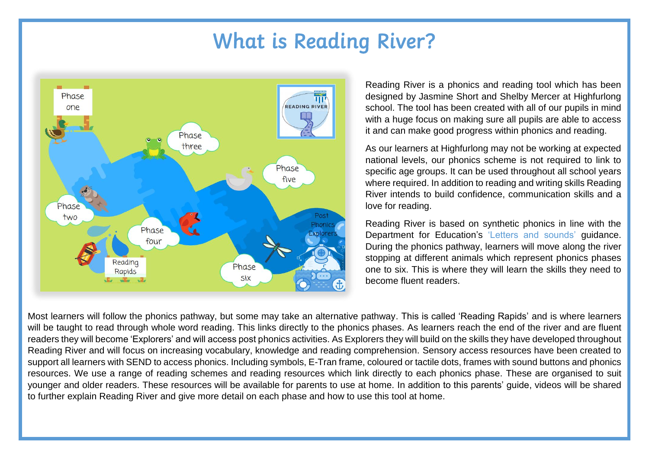### What is Reading River?



Reading River is a phonics and reading tool which has been designed by Jasmine Short and Shelby Mercer at Highfurlong school. The tool has been created with all of our pupils in mind with a huge focus on making sure all pupils are able to access it and can make good progress within phonics and reading.

As our learners at Highfurlong may not be working at expected national levels, our phonics scheme is not required to link to specific age groups. It can be used throughout all school years where required. In addition to reading and writing skills Reading River intends to build confidence, communication skills and a love for reading.

Reading River is based on synthetic phonics in line with the Department for Education's 'Letters and sounds' guidance. During the phonics pathway, learners will move along the river stopping at different animals which represent phonics phases one to six. This is where they will learn the skills they need to become fluent readers.

Most learners will follow the phonics pathway, but some may take an alternative pathway. This is called 'Reading Rapids' and is where learners will be taught to read through whole word reading. This links directly to the phonics phases. As learners reach the end of the river and are fluent readers they will become 'Explorers' and will access post phonics activities. As Explorers they will build on the skills they have developed throughout Reading River and will focus on increasing vocabulary, knowledge and reading comprehension. Sensory access resources have been created to support all learners with SEND to access phonics. Including symbols, E-Tran frame, coloured or tactile dots, frames with sound buttons and phonics resources. We use a range of reading schemes and reading resources which link directly to each phonics phase. These are organised to suit younger and older readers. These resources will be available for parents to use at home. In addition to this parents' guide, videos will be shared to further explain Reading River and give more detail on each phase and how to use this tool at home.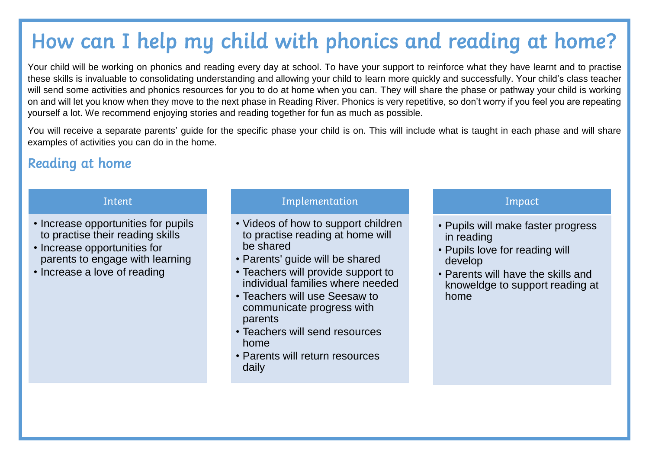## How can I help my child with phonics and reading at home?

Your child will be working on phonics and reading every day at school. To have your support to reinforce what they have learnt and to practise these skills is invaluable to consolidating understanding and allowing your child to learn more quickly and successfully. Your child's class teacher will send some activities and phonics resources for you to do at home when you can. They will share the phase or pathway your child is working on and will let you know when they move to the next phase in Reading River. Phonics is very repetitive, so don't worry if you feel you are repeating yourself a lot. We recommend enjoying stories and reading together for fun as much as possible.

You will receive a separate parents' guide for the specific phase your child is on. This will include what is taught in each phase and will share examples of activities you can do in the home.

### Reading at home

#### Intent

- Increase opportunities for pupils to practise their reading skills
- Increase opportunities for parents to engage with learning
- Increase a love of reading

### Implementation

- Videos of how to support children to practise reading at home will be shared
- Parents' guide will be shared
- Teachers will provide support to individual families where needed
- Teachers will use Seesaw to communicate progress with parents
- Teachers will send resources home
- Parents will return resources daily

### Impact

- Pupils will make faster progress in reading
- Pupils love for reading will develop
- Parents will have the skills and knoweldge to support reading at home